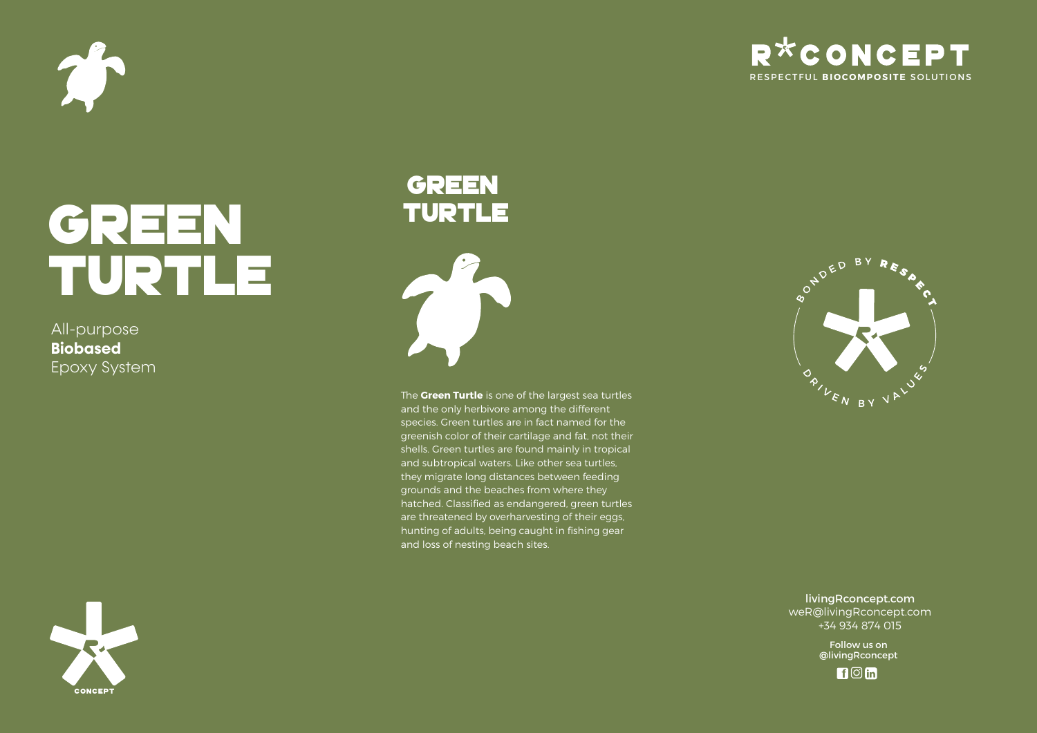

# R<sup>\*</sup>CONCEPT RESPECTFUL **BIOCOMPOSITE** SOLUTIONS

# green TURTLE

All-purpose **Biobased**  Epoxy System





The **Green Turtle** is one of the largest sea turtles and the only herbivore among the different species. Green turtles are in fact named for the greenish color of their cartilage and fat, not their shells. Green turtles are found mainly in tropical and subtropical waters. Like other sea turtles, they migrate long distances between feeding grounds and the beaches from where they hatched. Classified as endangered, green turtles are threatened by overharvesting of their eggs, hunting of adults, being caught in fishing gear and loss of nesting beach sites.



livingRconcept.com weR@livingRconcept.com +34 934 874 015

> Follow us on @livingRconcept